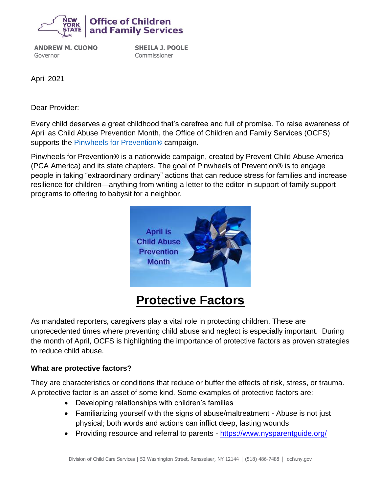

**ANDREW M. CUOMO** Governor

**SHEILA J. POOLE** Commissioner

April 2021

Dear Provider:

Every child deserves a great childhood that's carefree and full of promise. To raise awareness of April as Child Abuse Prevention Month, the Office of Children and Family Services (OCFS) supports the **[Pinwheels for Prevention®](https://www.preventchildabuseny.org/pinwheels-preventionr)** campaign.

Pinwheels for Prevention® is a nationwide campaign, created by Prevent Child Abuse America (PCA America) and its state chapters. The goal of Pinwheels of Prevention® is to engage people in taking "extraordinary ordinary" actions that can reduce stress for families and increase resilience for children—anything from writing a letter to the editor in support of family support programs to offering to babysit for a neighbor.



## **Protective Factors**

As mandated reporters, caregivers play a vital role in protecting children. These are unprecedented times where preventing child abuse and neglect is especially important. During the month of April, OCFS is highlighting the importance of protective factors as proven strategies to reduce child abuse.

## **What are protective factors?**

They are characteristics or conditions that reduce or buffer the effects of risk, stress, or trauma. A protective factor is an asset of some kind. Some examples of protective factors are:

- Developing relationships with children's families
- Familiarizing yourself with the signs of abuse/maltreatment Abuse is not just physical; both words and actions can inflict deep, lasting wounds
- Providing resource and referral to parents <https://www.nysparentguide.org/>